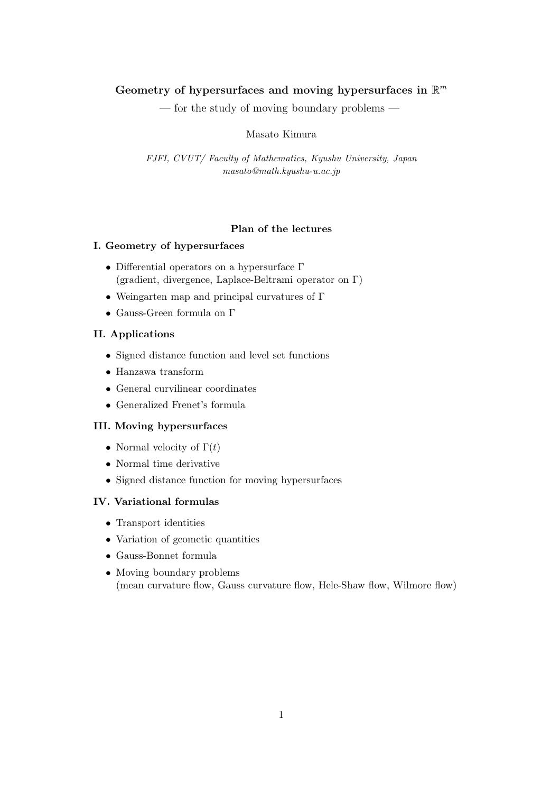# Geometry of hypersurfaces and moving hypersurfaces in  $\mathbb{R}^m$

— for the study of moving boundary problems —

Masato Kimura

*FJFI, CVUT/ Faculty of Mathematics, Kyushu University, Japan masato@math.kyushu-u.ac.jp*

# **Plan of the lectures**

# **I. Geometry of hypersurfaces**

- Differential operators on a hypersurface Γ (gradient, divergence, Laplace-Beltrami operator on Γ)
- Weingarten map and principal curvatures of Γ
- Gauss-Green formula on Γ

# **II. Applications**

- Signed distance function and level set functions
- Hanzawa transform
- General curvilinear coordinates
- Generalized Frenet's formula

# **III. Moving hypersurfaces**

- Normal velocity of  $\Gamma(t)$
- Normal time derivative
- Signed distance function for moving hypersurfaces

# **IV. Variational formulas**

- Transport identities
- Variation of geometic quantities
- Gauss-Bonnet formula
- Moving boundary problems (mean curvature flow, Gauss curvature flow, Hele-Shaw flow, Wilmore flow)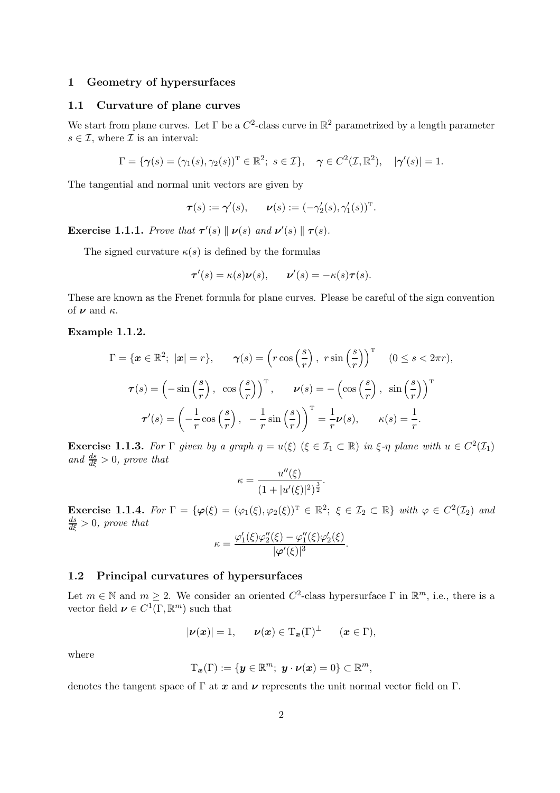### **1 Geometry of hypersurfaces**

# **1.1 Curvature of plane curves**

We start from plane curves. Let  $\Gamma$  be a  $C^2$ -class curve in  $\mathbb{R}^2$  parametrized by a length parameter  $s \in \mathcal{I}$ , where  $\mathcal{I}$  is an interval:

$$
\Gamma = \{ \boldsymbol{\gamma}(s) = (\gamma_1(s), \gamma_2(s))^{\mathrm{T}} \in \mathbb{R}^2; \ s \in \mathcal{I} \}, \quad \boldsymbol{\gamma} \in C^2(\mathcal{I}, \mathbb{R}^2), \quad |\boldsymbol{\gamma}'(s)| = 1.
$$

The tangential and normal unit vectors are given by

$$
\boldsymbol{\tau}(s) := \boldsymbol{\gamma}'(s), \qquad \boldsymbol{\nu}(s) := (-\gamma'_2(s), \gamma'_1(s))^{\mathrm{T}}.
$$

**Exercise 1.1.1.** *Prove that*  $\tau'(s) \parallel \nu(s)$  *and*  $\nu'(s) \parallel \tau(s)$ .

The signed curvature  $\kappa(s)$  is defined by the formulas

$$
\tau'(s) = \kappa(s)\nu(s), \qquad \nu'(s) = -\kappa(s)\tau(s).
$$

These are known as the Frenet formula for plane curves. Please be careful of the sign convention of  $\nu$  and  $\kappa$ .

### **Example 1.1.2.**

$$
\Gamma = \{ \boldsymbol{x} \in \mathbb{R}^2; \ |\boldsymbol{x}| = r \}, \qquad \gamma(s) = \left( r \cos \left( \frac{s}{r} \right), \ r \sin \left( \frac{s}{r} \right) \right)^{\mathrm{T}} \quad (0 \le s < 2\pi r),
$$

$$
\boldsymbol{\tau}(s) = \left( -\sin \left( \frac{s}{r} \right), \ \cos \left( \frac{s}{r} \right) \right)^{\mathrm{T}}, \qquad \boldsymbol{\nu}(s) = -\left( \cos \left( \frac{s}{r} \right), \ \sin \left( \frac{s}{r} \right) \right)^{\mathrm{T}}
$$

$$
\boldsymbol{\tau}'(s) = \left( -\frac{1}{r} \cos \left( \frac{s}{r} \right), \ -\frac{1}{r} \sin \left( \frac{s}{r} \right) \right)^{\mathrm{T}} = \frac{1}{r} \boldsymbol{\nu}(s), \qquad \kappa(s) = \frac{1}{r}.
$$

**Exercise** 1.1.3. For  $\Gamma$  given by a graph  $\eta = u(\xi)$  ( $\xi \in \mathcal{I}_1 \subset \mathbb{R}$ ) in  $\xi$ - $\eta$  plane with  $u \in C^2(\mathcal{I}_1)$  $and \frac{ds}{d\xi} > 0$ , prove that

$$
\kappa = \frac{u''(\xi)}{(1+|u'(\xi)|^2)^{\frac{3}{2}}}.
$$

**Exercise** 1.1.4. For  $\Gamma = {\varphi(\xi) = (\varphi_1(\xi), \varphi_2(\xi))^T \in \mathbb{R}^2$ ;  $\xi \in \mathcal{I}_2 \subset \mathbb{R}$  *with*  $\varphi \in C^2(\mathcal{I}_2)$  *and*  $\frac{ds}{d\xi} > 0$ , prove that

$$
\kappa = \frac{\varphi_1'(\xi)\varphi_2''(\xi) - \varphi_1''(\xi)\varphi_2'(\xi)}{|\varphi'(\xi)|^3}.
$$

#### **1.2 Principal curvatures of hypersurfaces**

Let  $m \in \mathbb{N}$  and  $m \geq 2$ . We consider an oriented  $C^2$ -class hypersurface  $\Gamma$  in  $\mathbb{R}^m$ , i.e., there is a vector field  $\nu \in C^1(\Gamma, \mathbb{R}^m)$  such that

$$
|\nu(x)|=1, \qquad \nu(x) \in \mathrm{T}_x(\Gamma)^{\perp} \qquad (x \in \Gamma),
$$

where

$$
\mathrm{T}_{\boldsymbol{x}}(\Gamma):=\{\boldsymbol{y}\in\mathbb{R}^m;\,\,\boldsymbol{y}\cdot\boldsymbol{\nu}(\boldsymbol{x})=0\}\subset\mathbb{R}^m,
$$

denotes the tangent space of Γ at *x* and *ν* represents the unit normal vector field on Γ.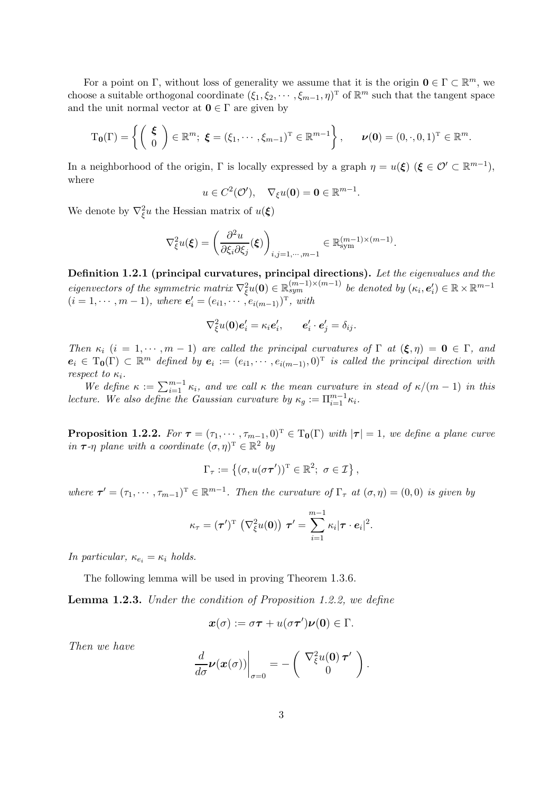For a point on Γ, without loss of generality we assume that it is the origin  $\mathbf{0} \in \Gamma \subset \mathbb{R}^m$ , we choose a suitable orthogonal coordinate  $(\xi_1, \xi_2, \dots, \xi_{m-1}, \eta)^T$  of  $\mathbb{R}^m$  such that the tangent space and the unit normal vector at  $0 \in \Gamma$  are given by

$$
T_{\mathbf{0}}(\Gamma) = \left\{ \begin{pmatrix} \boldsymbol{\xi} \\ 0 \end{pmatrix} \in \mathbb{R}^m; \ \boldsymbol{\xi} = (\xi_1, \cdots, \xi_{m-1})^T \in \mathbb{R}^{m-1} \right\}, \qquad \boldsymbol{\nu}(\mathbf{0}) = (0, \cdot, 0, 1)^T \in \mathbb{R}^m.
$$

In a neighborhood of the origin,  $\Gamma$  is locally expressed by a graph  $\eta = u(\xi)$  ( $\xi \in \mathcal{O}' \subset \mathbb{R}^{m-1}$ ), where

$$
u \in C^2(\mathcal{O}'), \quad \nabla_{\xi} u(\mathbf{0}) = \mathbf{0} \in \mathbb{R}^{m-1}.
$$

We denote by  $\nabla_{\xi}^2 u$  the Hessian matrix of  $u(\xi)$ 

$$
\nabla_{\xi}^{2} u(\xi) = \left(\frac{\partial^{2} u}{\partial \xi_{i} \partial \xi_{j}}(\xi)\right)_{i,j=1,\cdots,m-1} \in \mathbb{R}_{\text{sym}}^{(m-1)\times(m-1)}.
$$

**Definition 1.2.1 (principal curvatures, principal directions).** *Let the eigenvalues and the*  $eigenvectors$  of the symmetric matrix  $\nabla_{\xi}^{2}u(\mathbf{0}) \in \mathbb{R}^{(m-1)\times(m-1)}$  be denoted by  $(\kappa_i, e'_i) \in \mathbb{R} \times \mathbb{R}^{m-1}$  $(i = 1, \dots, m - 1)$ , where  $e'_{i} = (e_{i1}, \dots, e_{i(m-1)})^{T}$ , with

$$
\nabla_{\xi}^2 u(\mathbf{0}) \mathbf{e}'_i = \kappa_i \mathbf{e}'_i, \qquad \mathbf{e}'_i \cdot \mathbf{e}'_j = \delta_{ij}.
$$

*Then*  $\kappa_i$  (i = 1,  $\cdots$ ,  $m-1$ ) are called the principal curvatures of  $\Gamma$  at  $(\xi, \eta) = 0 \in \Gamma$ , and  $e_i \in T_0(\Gamma) \subset \mathbb{R}^m$  *defined by*  $e_i := (e_{i1}, \cdots, e_{i(m-1)}, 0)^T$  *is called the principal direction with respect to*  $\kappa_i$ *.* 

We define  $\kappa := \sum_{i=1}^{m-1} \kappa_i$ , and we call  $\kappa$  the mean curvature in stead of  $\kappa/(m-1)$  in this *lecture. We also define the Gaussian curvature by*  $\kappa_g := \prod_{i=1}^{m-1} \kappa_i$ .

**Proposition 1.2.2.** For  $\tau = (\tau_1, \dots, \tau_{m-1}, 0)^T \in T_0(\Gamma)$  with  $|\tau| = 1$ , we define a plane curve *in*  $\tau$ *-η plane with a coordinate*  $(\sigma, \eta)^T \in \mathbb{R}^2$  *by* 

$$
\Gamma_{\tau} := \{ (\sigma, u(\sigma \tau'))^{\mathrm{T}} \in \mathbb{R}^2; \ \sigma \in \mathcal{I} \},\
$$

*where*  $\tau' = (\tau_1, \dots, \tau_{m-1})^T \in \mathbb{R}^{m-1}$ . Then the curvature of  $\Gamma_{\tau}$  at  $(\sigma, \eta) = (0, 0)$  *is given by* 

$$
\kappa_{\tau} = (\tau')^{\mathrm{T}} \left( \nabla_{\xi}^2 u(\mathbf{0}) \right) \tau' = \sum_{i=1}^{m-1} \kappa_i |\tau \cdot e_i|^2.
$$

*In particular,*  $\kappa_{e_i} = \kappa_i$  *holds.* 

The following lemma will be used in proving Theorem 1.3.6.

**Lemma 1.2.3.** *Under the condition of Proposition 1.2.2, we define*

$$
\boldsymbol{x}(\sigma) := \sigma \boldsymbol{\tau} + u(\sigma \boldsymbol{\tau}') \boldsymbol{\nu}(\boldsymbol{0}) \in \Gamma.
$$

*Then we have*

$$
\left. \frac{d}{d\sigma} \boldsymbol{\nu}(\boldsymbol{x}(\sigma)) \right|_{\sigma=0} = -\left( \begin{array}{c} \nabla_{\xi}^2 u(\boldsymbol{0}) \boldsymbol{\tau}' \\ 0 \end{array} \right).
$$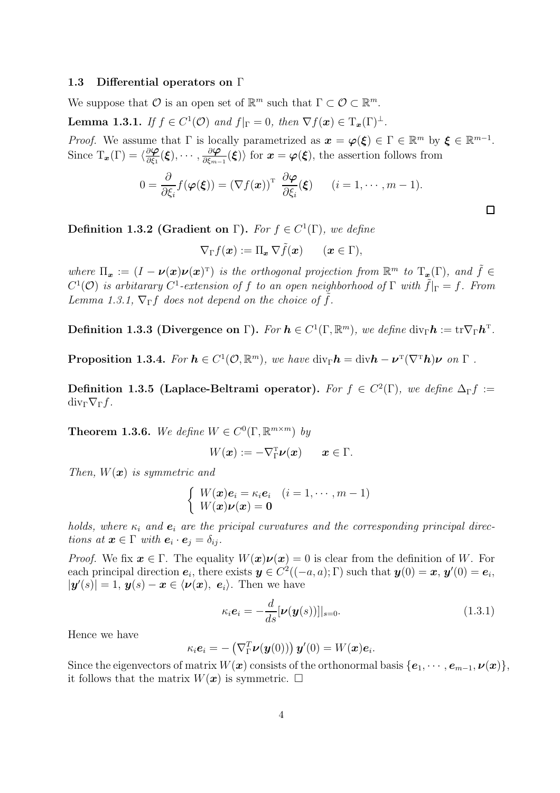# **1.3 Differential operators on** Γ

We suppose that  $\mathcal O$  is an open set of  $\mathbb{R}^m$  such that  $\Gamma \subset \mathcal O \subset \mathbb{R}^m$ .

**Lemma 1.3.1.** *If*  $f \in C^1(\mathcal{O})$  *and*  $f|_{\Gamma} = 0$ *, then*  $\nabla f(\boldsymbol{x}) \in T_{\boldsymbol{x}}(\Gamma)^{\perp}$ *.* 

*Proof.* We assume that  $\Gamma$  is locally parametrized as  $\mathbf{x} = \varphi(\xi) \in \Gamma \in \mathbb{R}^m$  by  $\xi \in \mathbb{R}^{m-1}$ . Since  $T_x(\Gamma) = \langle \frac{\partial \varphi}{\partial \xi_1}(\xi), \cdots, \frac{\partial \varphi}{\partial \xi_{m-1}}(\xi) \rangle$  for  $x = \varphi(\xi)$ , the assertion follows from

$$
0 = \frac{\partial}{\partial \xi_i} f(\boldsymbol{\varphi}(\boldsymbol{\xi})) = (\nabla f(\boldsymbol{x}))^{\mathrm{T}} \frac{\partial \boldsymbol{\varphi}}{\partial \xi_i}(\boldsymbol{\xi}) \qquad (i = 1, \cdots, m-1).
$$

 $\Box$ 

**Definition 1.3.2 (Gradient on Γ).** *For*  $f \in C^1(\Gamma)$ *, we define* 

$$
\nabla_{\Gamma} f(\boldsymbol{x}) := \Pi_{\boldsymbol{x}} \, \nabla \tilde{f}(\boldsymbol{x}) \qquad (\boldsymbol{x} \in \Gamma),
$$

*where*  $\Pi_x := (I - \nu(x)\nu(x)^T)$  *is the orthogonal projection from*  $\mathbb{R}^m$  *to*  $T_x(\Gamma)$ *, and*  $\tilde{f} \in$  $C^1(\mathcal{O})$  *is arbitarary*  $C^1$ -extension of f to an open neighborhood of  $\Gamma$  *with*  $\tilde{f}|_{\Gamma} = f$ . From *Lemma 1.3.1,*  $\nabla_{\Gamma} f$  *does not depend on the choice of*  $\tilde{f}$ *.* 

**Definition 1.3.3 (Divergence on**  $\Gamma$ ). For  $h \in C^1(\Gamma, \mathbb{R}^m)$ , we define div<sub> $\Gamma$ </sub> $h := \text{tr} \nabla_{\Gamma} h^{\text{T}}$ .

**Proposition 1.3.4.** For  $h \in C^1(\mathcal{O}, \mathbb{R}^m)$ , we have  $\text{div}_{\Gamma} h = \text{div} h - \nu^{\text{T}} (\nabla^{\text{T}} h) \nu$  on  $\Gamma$ .

**Definition 1.3.5 (Laplace-Beltrami operator).** *For*  $f \in C^2(\Gamma)$ *, we define*  $\Delta_{\Gamma} f :=$  $div_\Gamma \nabla_\Gamma f$ .

**Theorem 1.3.6.** We define  $W \in C^0(\Gamma, \mathbb{R}^{m \times m})$  by

$$
W(\boldsymbol{x}) := -\nabla_{\Gamma}^{\mathrm{T}} \boldsymbol{\nu}(\boldsymbol{x}) \qquad \boldsymbol{x} \in \Gamma.
$$

*Then,* W(*x*) *is symmetric and*

$$
\begin{cases} W(\boldsymbol{x})\boldsymbol{e}_i = \kappa_i \boldsymbol{e}_i & (i = 1, \cdots, m-1) \\ W(\boldsymbol{x})\boldsymbol{\nu}(\boldsymbol{x}) = \mathbf{0} \end{cases}
$$

*holds, where*  $\kappa_i$  *and*  $e_i$  *are the pricipal curvatures and the corresponding principal directions* at  $\mathbf{x} \in \Gamma$  *with*  $\mathbf{e}_i \cdot \mathbf{e}_j = \delta_{ij}$ *.* 

*Proof.* We fix  $x \in \Gamma$ . The equality  $W(x)\nu(x) = 0$  is clear from the definition of W. For each principal direction  $e_i$ , there exists  $y \in C^2((-a, a); \Gamma)$  such that  $y(0) = x$ ,  $y'(0) = e_i$ ,  $|\mathbf{y}'(s)| = 1$ ,  $\mathbf{y}(s) - \mathbf{x} \in \langle \boldsymbol{\nu}(\boldsymbol{x}), \boldsymbol{e}_i \rangle$ . Then we have

$$
\kappa_i \mathbf{e}_i = -\frac{d}{ds} [\boldsymbol{\nu}(\boldsymbol{y}(s))]|_{s=0}.
$$
\n(1.3.1)

Hence we have

$$
\kappa_i \mathbf{e}_i = -\left(\nabla_{\Gamma}^T \boldsymbol{\nu}(\boldsymbol{y}(0))\right) \boldsymbol{y}'(0) = W(\boldsymbol{x}) \boldsymbol{e}_i.
$$

Since the eigenvectors of matrix  $W(\boldsymbol{x})$  consists of the orthonormal basis  $\{\boldsymbol{e}_1, \cdots, \boldsymbol{e}_{m-1}, \boldsymbol{\nu}(\boldsymbol{x})\}$ , it follows that the matrix  $W(\boldsymbol{x})$  is symmetric.  $\Box$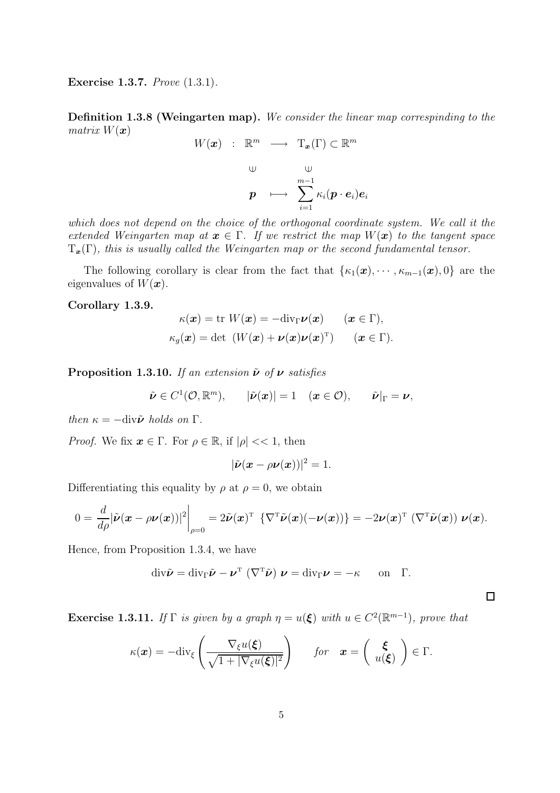**Exercise 1.3.7.** *Prove* (1.3.1)*.*

**Definition 1.3.8 (Weingarten map).** *We consider the linear map correspinding to the matrix*  $W(x)$ 

$$
W(\boldsymbol{x}) \quad : \quad \mathbb{R}^m \quad \longrightarrow \quad \mathrm{T}_{\boldsymbol{x}}(\Gamma) \subset \mathbb{R}^m
$$
\n
$$
\cup \qquad \qquad \downarrow \qquad \qquad \downarrow
$$
\n
$$
\boldsymbol{p} \quad \longmapsto \quad \sum_{i=1}^{m-1} \kappa_i(\boldsymbol{p} \cdot \boldsymbol{e}_i) \boldsymbol{e}_i
$$

*which does not depend on the choice of the orthogonal coordinate system. We call it the extended Weingarten map at*  $x \in \Gamma$ . If we restrict the map  $W(x)$  to the tangent space  $T_{\boldsymbol{x}}(\Gamma)$ *, this is usually called the Weingarten map or the second fundamental tensor.* 

The following corollary is clear from the fact that  $\{\kappa_1(\boldsymbol{x}), \cdots, \kappa_{m-1}(\boldsymbol{x}), 0\}$  are the eigenvalues of  $W(\boldsymbol{x})$ .

### **Corollary 1.3.9.**

$$
\kappa(\boldsymbol{x}) = \text{tr } W(\boldsymbol{x}) = -\text{div}_{\Gamma} \boldsymbol{\nu}(\boldsymbol{x}) \qquad (\boldsymbol{x} \in \Gamma),
$$
  

$$
\kappa_g(\boldsymbol{x}) = \text{det } (W(\boldsymbol{x}) + \boldsymbol{\nu}(\boldsymbol{x})\boldsymbol{\nu}(\boldsymbol{x})^{\text{T}}) \qquad (\boldsymbol{x} \in \Gamma).
$$

**Proposition 1.3.10.** *If an extension*  $\tilde{\nu}$  *of*  $\nu$  *satisfies* 

$$
\tilde{\boldsymbol{\nu}} \in C^1(\mathcal{O}, \mathbb{R}^m), \qquad |\tilde{\boldsymbol{\nu}}(\boldsymbol{x})| = 1 \quad (\boldsymbol{x} \in \mathcal{O}), \qquad \tilde{\boldsymbol{\nu}}|_{\Gamma} = \boldsymbol{\nu},
$$

*then*  $\kappa = -\text{div}\tilde{\nu}$  *holds on*  $\Gamma$ *.* 

*Proof.* We fix  $x \in \Gamma$ . For  $\rho \in \mathbb{R}$ , if  $|\rho| \ll 1$ , then

$$
|\tilde{\boldsymbol{\nu}}(\boldsymbol{x}-\rho \boldsymbol{\nu}(\boldsymbol{x}))|^2=1.
$$

Differentiating this equality by  $\rho$  at  $\rho = 0$ , we obtain

$$
0 = \frac{d}{d\rho} |\tilde{\boldsymbol{\nu}}(\boldsymbol{x} - \rho \boldsymbol{\nu}(\boldsymbol{x}))|^2 \bigg|_{\rho=0} = 2\tilde{\boldsymbol{\nu}}(\boldsymbol{x})^{\mathrm{T}} \left\{ \nabla^{\mathrm{T}} \tilde{\boldsymbol{\nu}}(\boldsymbol{x}) (-\boldsymbol{\nu}(\boldsymbol{x})) \right\} = -2\boldsymbol{\nu}(\boldsymbol{x})^{\mathrm{T}} \left( \nabla^{\mathrm{T}} \tilde{\boldsymbol{\nu}}(\boldsymbol{x}) \right) \boldsymbol{\nu}(\boldsymbol{x}).
$$

Hence, from Proposition 1.3.4, we have

$$
\mathrm{div}\tilde{\boldsymbol{\nu}} = \mathrm{div}_{\Gamma}\tilde{\boldsymbol{\nu}} - \boldsymbol{\nu}^{\mathrm{T}}\left(\nabla^{\mathrm{T}}\tilde{\boldsymbol{\nu}}\right)\boldsymbol{\nu} = \mathrm{div}_{\Gamma}\boldsymbol{\nu} = -\kappa \quad \text{on} \quad \Gamma.
$$

 $\Box$ 

**Exercise 1.3.11.** *If*  $\Gamma$  *is given by a graph*  $\eta = u(\xi)$  *with*  $u \in C^2(\mathbb{R}^{m-1})$ *, prove that* 

$$
\kappa(\boldsymbol{x}) = -\mathrm{div}_{\xi} \left( \frac{\nabla_{\xi} u(\boldsymbol{\xi})}{\sqrt{1+|\nabla_{\xi} u(\boldsymbol{\xi})|^2}} \right) \quad \text{for} \quad \boldsymbol{x} = \left( \begin{array}{c} \boldsymbol{\xi} \\ u(\boldsymbol{\xi}) \end{array} \right) \in \Gamma.
$$